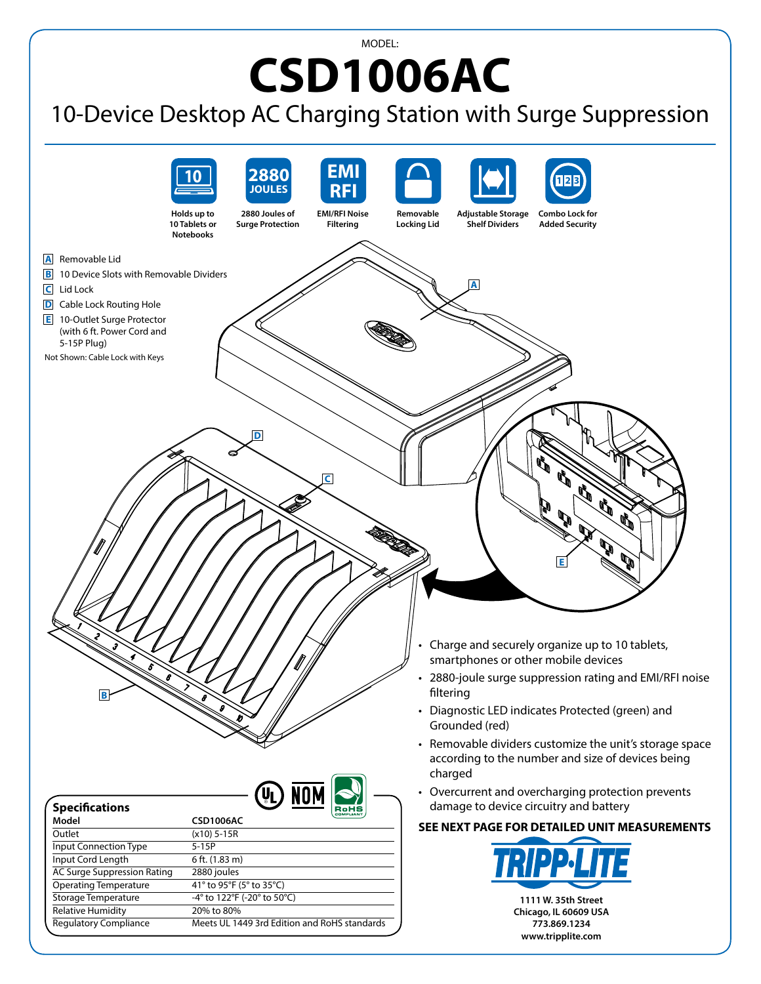